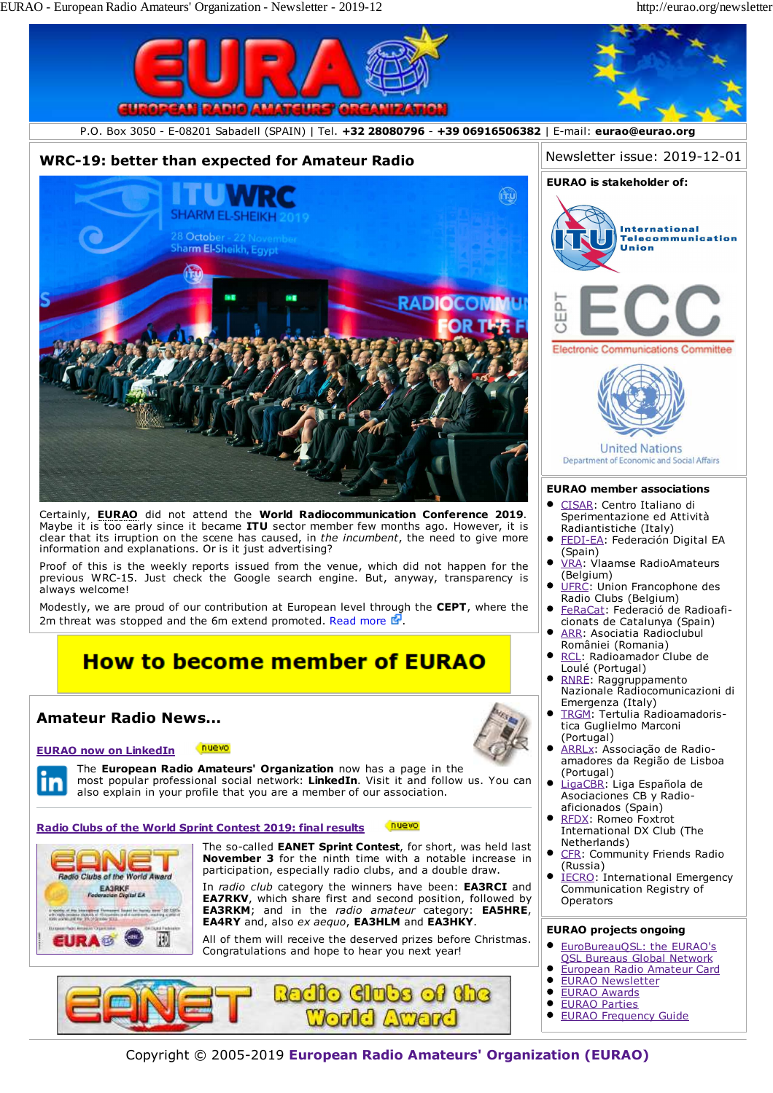